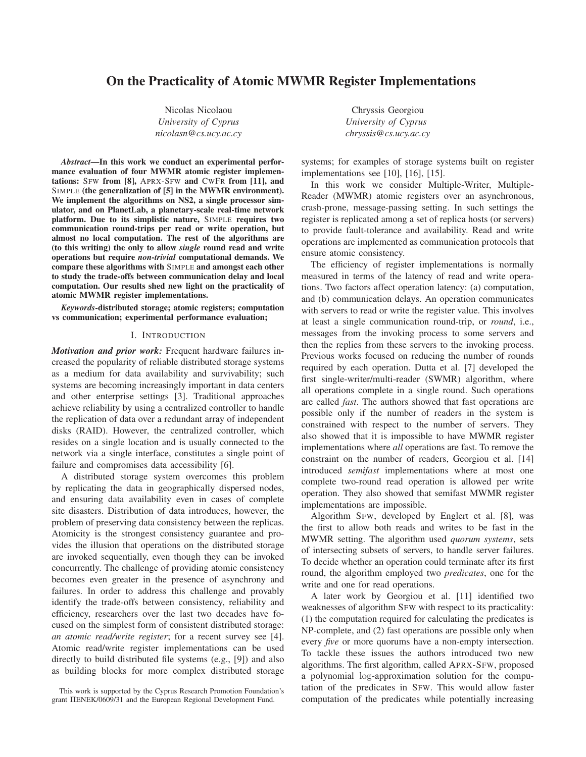# **On the Practicality of Atomic MWMR Register Implementations**

Nicolas Nicolaou *University of Cyprus nicolasn@cs.ucy.ac.cy*

*Abstract***—In this work we conduct an experimental performance evaluation of four MWMR atomic register implementations:** SFW **from [8],** APRX-SFW **and** CWFR **from [11], and** SIMPLE **(the generalization of [5] in the MWMR environment). We implement the algorithms on NS2, a single processor simulator, and on PlanetLab, a planetary-scale real-time network platform. Due to its simplistic nature,** SIMPLE **requires two communication round-trips per read or write operation, but almost no local computation. The rest of the algorithms are (to this writing) the only to allow** *single* **round read and write operations but require** *non-trivial* **computational demands. We compare these algorithms with** SIMPLE **and amongst each other to study the trade-offs between communication delay and local computation. Our results shed new light on the practicality of atomic MWMR register implementations.**

*Keywords***-distributed storage; atomic registers; computation vs communication; experimental performance evaluation;**

#### I. INTRODUCTION

*Motivation and prior work:* Frequent hardware failures increased the popularity of reliable distributed storage systems as a medium for data availability and survivability; such systems are becoming increasingly important in data centers and other enterprise settings [3]. Traditional approaches achieve reliability by using a centralized controller to handle the replication of data over a redundant array of independent disks (RAID). However, the centralized controller, which resides on a single location and is usually connected to the network via a single interface, constitutes a single point of failure and compromises data accessibility [6].

A distributed storage system overcomes this problem by replicating the data in geographically dispersed nodes, and ensuring data availability even in cases of complete site disasters. Distribution of data introduces, however, the problem of preserving data consistency between the replicas. Atomicity is the strongest consistency guarantee and provides the illusion that operations on the distributed storage are invoked sequentially, even though they can be invoked concurrently. The challenge of providing atomic consistency becomes even greater in the presence of asynchrony and failures. In order to address this challenge and provably identify the trade-offs between consistency, reliability and efficiency, researchers over the last two decades have focused on the simplest form of consistent distributed storage: *an atomic read/write register*; for a recent survey see [4]. Atomic read/write register implementations can be used directly to build distributed file systems (e.g., [9]) and also as building blocks for more complex distributed storage

Chryssis Georgiou *University of Cyprus chryssis@cs.ucy.ac.cy*

systems; for examples of storage systems built on register implementations see [10], [16], [15].

In this work we consider Multiple-Writer, Multiple-Reader (MWMR) atomic registers over an asynchronous, crash-prone, message-passing setting. In such settings the register is replicated among a set of replica hosts (or servers) to provide fault-tolerance and availability. Read and write operations are implemented as communication protocols that ensure atomic consistency.

The efficiency of register implementations is normally measured in terms of the latency of read and write operations. Two factors affect operation latency: (a) computation, and (b) communication delays. An operation communicates with servers to read or write the register value. This involves at least a single communication round-trip, or *round*, i.e., messages from the invoking process to some servers and then the replies from these servers to the invoking process. Previous works focused on reducing the number of rounds required by each operation. Dutta et al. [7] developed the first single-writer/multi-reader (SWMR) algorithm, where all operations complete in a single round. Such operations are called *fast*. The authors showed that fast operations are possible only if the number of readers in the system is constrained with respect to the number of servers. They also showed that it is impossible to have MWMR register implementations where *all* operations are fast. To remove the constraint on the number of readers, Georgiou et al. [14] introduced *semifast* implementations where at most one complete two-round read operation is allowed per write operation. They also showed that semifast MWMR register implementations are impossible.

Algorithm SFW, developed by Englert et al. [8], was the first to allow both reads and writes to be fast in the MWMR setting. The algorithm used *quorum systems*, sets of intersecting subsets of servers, to handle server failures. To decide whether an operation could terminate after its first round, the algorithm employed two *predicates*, one for the write and one for read operations.

A later work by Georgiou et al. [11] identified two weaknesses of algorithm SFW with respect to its practicality: (1) the computation required for calculating the predicates is NP-complete, and (2) fast operations are possible only when every *five* or more quorums have a non-empty intersection. To tackle these issues the authors introduced two new algorithms. The first algorithm, called APRX-SFW, proposed a polynomial log-approximation solution for the computation of the predicates in SFW. This would allow faster computation of the predicates while potentially increasing

This work is supported by the Cyprus Research Promotion Foundation's grant ΠENEK/0609/31 and the European Regional Development Fund.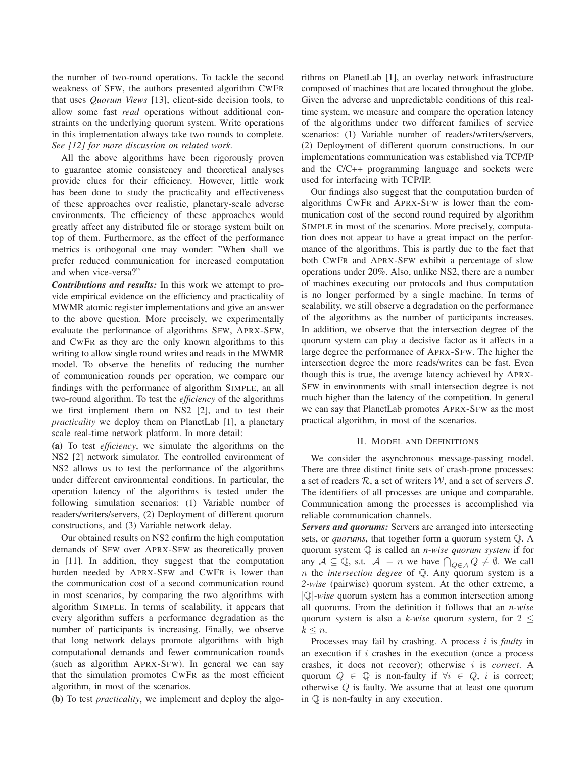the number of two-round operations. To tackle the second weakness of SFW, the authors presented algorithm CWFR that uses *Quorum Views* [13], client-side decision tools, to allow some fast *read* operations without additional constraints on the underlying quorum system. Write operations in this implementation always take two rounds to complete. *See [12] for more discussion on related work.*

All the above algorithms have been rigorously proven to guarantee atomic consistency and theoretical analyses provide clues for their efficiency. However, little work has been done to study the practicality and effectiveness of these approaches over realistic, planetary-scale adverse environments. The efficiency of these approaches would greatly affect any distributed file or storage system built on top of them. Furthermore, as the effect of the performance metrics is orthogonal one may wonder: "When shall we prefer reduced communication for increased computation and when vice-versa?"

*Contributions and results:* In this work we attempt to provide empirical evidence on the efficiency and practicality of MWMR atomic register implementations and give an answer to the above question. More precisely, we experimentally evaluate the performance of algorithms SFW, APRX-SFW, and CWFR as they are the only known algorithms to this writing to allow single round writes and reads in the MWMR model. To observe the benefits of reducing the number of communication rounds per operation, we compare our findings with the performance of algorithm SIMPLE, an all two-round algorithm. To test the *efficiency* of the algorithms we first implement them on NS2 [2], and to test their *practicality* we deploy them on PlanetLab [1], a planetary scale real-time network platform. In more detail:

**(a)** To test *efficiency*, we simulate the algorithms on the NS2 [2] network simulator. The controlled environment of NS2 allows us to test the performance of the algorithms under different environmental conditions. In particular, the operation latency of the algorithms is tested under the following simulation scenarios: (1) Variable number of readers/writers/servers, (2) Deployment of different quorum constructions, and (3) Variable network delay.

Our obtained results on NS2 confirm the high computation demands of SFW over APRX-SFW as theoretically proven in [11]. In addition, they suggest that the computation burden needed by APRX-SFW and CWFR is lower than the communication cost of a second communication round in most scenarios, by comparing the two algorithms with algorithm SIMPLE. In terms of scalability, it appears that every algorithm suffers a performance degradation as the number of participants is increasing. Finally, we observe that long network delays promote algorithms with high computational demands and fewer communication rounds (such as algorithm APRX-SFW). In general we can say that the simulation promotes CWFR as the most efficient algorithm, in most of the scenarios.

**(b)** To test *practicality*, we implement and deploy the algo-

rithms on PlanetLab [1], an overlay network infrastructure composed of machines that are located throughout the globe. Given the adverse and unpredictable conditions of this realtime system, we measure and compare the operation latency of the algorithms under two different families of service scenarios: (1) Variable number of readers/writers/servers, (2) Deployment of different quorum constructions. In our implementations communication was established via TCP/IP and the C/C++ programming language and sockets were used for interfacing with TCP/IP.

Our findings also suggest that the computation burden of algorithms CWFR and APRX-SFW is lower than the communication cost of the second round required by algorithm SIMPLE in most of the scenarios. More precisely, computation does not appear to have a great impact on the performance of the algorithms. This is partly due to the fact that both CWFR and APRX-SFW exhibit a percentage of slow operations under 20%. Also, unlike NS2, there are a number of machines executing our protocols and thus computation is no longer performed by a single machine. In terms of scalability, we still observe a degradation on the performance of the algorithms as the number of participants increases. In addition, we observe that the intersection degree of the quorum system can play a decisive factor as it affects in a large degree the performance of APRX-SFW. The higher the intersection degree the more reads/writes can be fast. Even though this is true, the average latency achieved by APRX-SFW in environments with small intersection degree is not much higher than the latency of the competition. In general we can say that PlanetLab promotes APRX-SFW as the most practical algorithm, in most of the scenarios.

### II. MODEL AND DEFINITIONS

We consider the asynchronous message-passing model. There are three distinct finite sets of crash-prone processes: a set of readers  $R$ , a set of writers  $W$ , and a set of servers  $S$ . The identifiers of all processes are unique and comparable. Communication among the processes is accomplished via reliable communication channels.

*Servers and quorums:* Servers are arranged into intersecting sets, or *quorums*, that together form a quorum system  $Q$ . A quorum system ℚ is called an *n-wise quorum system* if for any  $A \subseteq \mathbb{Q}$ , s.t.  $|A| = n$  we have  $\bigcap_{Q \in A} Q \neq \emptyset$ . We call n the *intersection degree* of ℚ. Any quorum system is a *2-wise* (pairwise) quorum system. At the other extreme, a ∣ℚ∣*-wise* quorum system has a common intersection among all quorums. From the definition it follows that an *n-wise* quorum system is also a *k-wise* quorum system, for 2 ≤  $k \leq n$ .

Processes may fail by crashing. A process *i* is *faulty* in an execution if  $i$  crashes in the execution (once a process crashes, it does not recover); otherwise is *correct*. A quorum  $Q \in \mathbb{Q}$  is non-faulty if  $\forall i \in Q$ , i is correct; otherwise  $Q$  is faulty. We assume that at least one quorum in  $Q$  is non-faulty in any execution.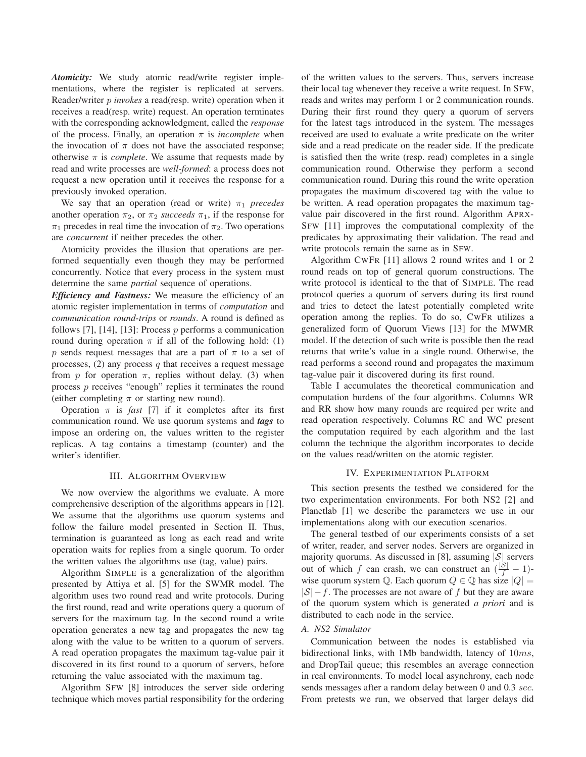*Atomicity:* We study atomic read/write register implementations, where the register is replicated at servers. Reader/writer *invokes* a read(resp. write) operation when it receives a read(resp. write) request. An operation terminates with the corresponding acknowledgment, called the *response* of the process. Finally, an operation  $\pi$  is *incomplete* when the invocation of  $\pi$  does not have the associated response; otherwise  $\pi$  is *complete*. We assume that requests made by read and write processes are *well-formed*: a process does not request a new operation until it receives the response for a previously invoked operation.

We say that an operation (read or write)  $\pi_1$  precedes another operation  $\pi_2$ , or  $\pi_2$  *succeeds*  $\pi_1$ , if the response for  $\pi_1$  precedes in real time the invocation of  $\pi_2$ . Two operations are *concurrent* if neither precedes the other.

Atomicity provides the illusion that operations are performed sequentially even though they may be performed concurrently. Notice that every process in the system must determine the same *partial* sequence of operations.

*Efficiency and Fastness:* We measure the efficiency of an atomic register implementation in terms of *computation* and *communication round-trips* or *rounds*. A round is defined as follows [7], [14], [13]: Process  $p$  performs a communication round during operation  $\pi$  if all of the following hold: (1) p sends request messages that are a part of  $\pi$  to a set of processes, (2) any process  $q$  that receives a request message from p for operation  $\pi$ , replies without delay. (3) when process  $p$  receives "enough" replies it terminates the round (either completing  $\pi$  or starting new round).

Operation  $\pi$  is *fast* [7] if it completes after its first communication round. We use quorum systems and *tags* to impose an ordering on, the values written to the register replicas. A tag contains a timestamp (counter) and the writer's identifier.

#### III. ALGORITHM OVERVIEW

We now overview the algorithms we evaluate. A more comprehensive description of the algorithms appears in [12]. We assume that the algorithms use quorum systems and follow the failure model presented in Section II. Thus, termination is guaranteed as long as each read and write operation waits for replies from a single quorum. To order the written values the algorithms use (tag, value) pairs.

Algorithm SIMPLE is a generalization of the algorithm presented by Attiya et al. [5] for the SWMR model. The algorithm uses two round read and write protocols. During the first round, read and write operations query a quorum of servers for the maximum tag. In the second round a write operation generates a new tag and propagates the new tag along with the value to be written to a quorum of servers. A read operation propagates the maximum tag-value pair it discovered in its first round to a quorum of servers, before returning the value associated with the maximum tag.

Algorithm SFW [8] introduces the server side ordering technique which moves partial responsibility for the ordering of the written values to the servers. Thus, servers increase their local tag whenever they receive a write request. In SFW, reads and writes may perform 1 or 2 communication rounds. During their first round they query a quorum of servers for the latest tags introduced in the system. The messages received are used to evaluate a write predicate on the writer side and a read predicate on the reader side. If the predicate is satisfied then the write (resp. read) completes in a single communication round. Otherwise they perform a second communication round. During this round the write operation propagates the maximum discovered tag with the value to be written. A read operation propagates the maximum tagvalue pair discovered in the first round. Algorithm APRX-SFW [11] improves the computational complexity of the predicates by approximating their validation. The read and write protocols remain the same as in SFW.

Algorithm CWFR [11] allows 2 round writes and 1 or 2 round reads on top of general quorum constructions. The write protocol is identical to the that of SIMPLE. The read protocol queries a quorum of servers during its first round and tries to detect the latest potentially completed write operation among the replies. To do so, CWFR utilizes a generalized form of Quorum Views [13] for the MWMR model. If the detection of such write is possible then the read returns that write's value in a single round. Otherwise, the read performs a second round and propagates the maximum tag-value pair it discovered during its first round.

Table I accumulates the theoretical communication and computation burdens of the four algorithms. Columns WR and RR show how many rounds are required per write and read operation respectively. Columns RC and WC present the computation required by each algorithm and the last column the technique the algorithm incorporates to decide on the values read/written on the atomic register.

#### IV. EXPERIMENTATION PLATFORM

This section presents the testbed we considered for the two experimentation environments. For both NS2 [2] and Planetlab [1] we describe the parameters we use in our implementations along with our execution scenarios.

The general testbed of our experiments consists of a set of writer, reader, and server nodes. Servers are organized in majority quorums. As discussed in [8], assuming  $|S|$  servers out of which f can crash, we can construct an  $(\frac{|\mathcal{S}|}{f}-1)$ wise quorum system ℚ. Each quorum  $Q \in \mathbb{Q}$  has size  $|Q| =$  $|\mathcal{S}| - f$ . The processes are not aware of f but they are aware of the quorum system which is generated *a priori* and is distributed to each node in the service.

# *A. NS2 Simulator*

Communication between the nodes is established via bidirectional links, with 1Mb bandwidth, latency of  $10ms$ , and DropTail queue; this resembles an average connection in real environments. To model local asynchrony, each node sends messages after a random delay between 0 and 0.3 sec. From pretests we run, we observed that larger delays did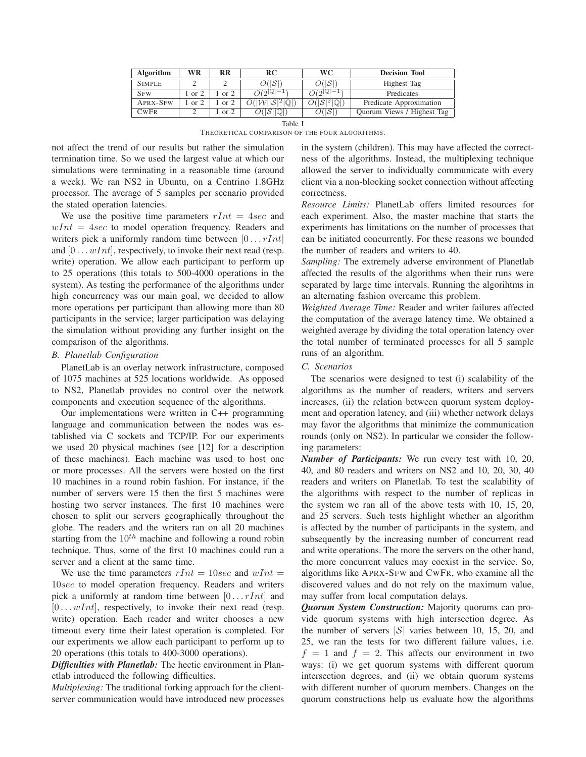| Algorithm       | WR     | RR     | RC                                            | <b>WC</b>      | <b>Decision Tool</b>       |
|-----------------|--------|--------|-----------------------------------------------|----------------|----------------------------|
| <b>SIMPLE</b>   |        |        | 21 ISI                                        | 0(ISI          | Highest Tag                |
| <b>SFW</b>      | or $2$ | or $2$ | $O(2^{ Q -1})$                                | $O(2^{ Q -1})$ | Predicates                 |
| <b>APRX-SFW</b> | or $2$ | or $2$ | $O( \mathcal{W}  \mathcal{S} ^2 \mathbb{Q} )$ |                | Predicate Approximation    |
| CwFR            |        | or $2$ |                                               | 0(ISI          | Quorum Views / Highest Tag |

Table I

THEORETICAL COMPARISON OF THE FOUR ALGORITHMS.

not affect the trend of our results but rather the simulation termination time. So we used the largest value at which our simulations were terminating in a reasonable time (around a week). We ran NS2 in Ubuntu, on a Centrino 1.8GHz processor. The average of 5 samples per scenario provided the stated operation latencies.

We use the positive time parameters  $rInt = 4 sec$  and  $wInt = 4 sec$  to model operation frequency. Readers and writers pick a uniformly random time between  $[0 \dots rInt]$ and  $[0 \dots wInt]$ , respectively, to invoke their next read (resp. write) operation. We allow each participant to perform up to 25 operations (this totals to 500-4000 operations in the system). As testing the performance of the algorithms under high concurrency was our main goal, we decided to allow more operations per participant than allowing more than 80 participants in the service; larger participation was delaying the simulation without providing any further insight on the comparison of the algorithms.

### *B. Planetlab Configuration*

PlanetLab is an overlay network infrastructure, composed of 1075 machines at 525 locations worldwide. As opposed to NS2, Planetlab provides no control over the network components and execution sequence of the algorithms.

Our implementations were written in C++ programming language and communication between the nodes was established via C sockets and TCP/IP. For our experiments we used 20 physical machines (see [12] for a description of these machines). Each machine was used to host one or more processes. All the servers were hosted on the first 10 machines in a round robin fashion. For instance, if the number of servers were 15 then the first 5 machines were hosting two server instances. The first 10 machines were chosen to split our servers geographically throughout the globe. The readers and the writers ran on all 20 machines starting from the  $10^{th}$  machine and following a round robin technique. Thus, some of the first 10 machines could run a server and a client at the same time.

We use the time parameters  $rInt = 10 sec$  and  $wInt =$ 10sec to model operation frequency. Readers and writers pick a uniformly at random time between  $[0 \dots rInt]$  and  $[0 \dots wInt]$ , respectively, to invoke their next read (resp. write) operation. Each reader and writer chooses a new timeout every time their latest operation is completed. For our experiments we allow each participant to perform up to 20 operations (this totals to 400-3000 operations).

*Difficulties with Planetlab:* The hectic environment in Planetlab introduced the following difficulties.

*Multiplexing:* The traditional forking approach for the clientserver communication would have introduced new processes in the system (children). This may have affected the correctness of the algorithms. Instead, the multiplexing technique allowed the server to individually communicate with every client via a non-blocking socket connection without affecting correctness.

*Resource Limits:* PlanetLab offers limited resources for each experiment. Also, the master machine that starts the experiments has limitations on the number of processes that can be initiated concurrently. For these reasons we bounded the number of readers and writers to 40.

*Sampling:* The extremely adverse environment of Planetlab affected the results of the algorithms when their runs were separated by large time intervals. Running the algorihtms in an alternating fashion overcame this problem.

*Weighted Average Time:* Reader and writer failures affected the computation of the average latency time. We obtained a weighted average by dividing the total operation latency over the total number of terminated processes for all 5 sample runs of an algorithm.

## *C. Scenarios*

The scenarios were designed to test (i) scalability of the algorithms as the number of readers, writers and servers increases, (ii) the relation between quorum system deployment and operation latency, and (iii) whether network delays may favor the algorithms that minimize the communication rounds (only on NS2). In particular we consider the following parameters:

*Number of Participants:* We run every test with 10, 20, 40, and 80 readers and writers on NS2 and 10, 20, 30, 40 readers and writers on Planetlab. To test the scalability of the algorithms with respect to the number of replicas in the system we ran all of the above tests with 10, 15, 20, and 25 servers. Such tests highlight whether an algorithm is affected by the number of participants in the system, and subsequently by the increasing number of concurrent read and write operations. The more the servers on the other hand, the more concurrent values may coexist in the service. So, algorithms like APRX-SFW and CWFR, who examine all the discovered values and do not rely on the maximum value, may suffer from local computation delays.

*Quorum System Construction:* Majority quorums can provide quorum systems with high intersection degree. As the number of servers  $|\mathcal{S}|$  varies between 10, 15, 20, and 25, we ran the tests for two different failure values, i.e.  $f = 1$  and  $f = 2$ . This affects our environment in two ways: (i) we get quorum systems with different quorum intersection degrees, and (ii) we obtain quorum systems with different number of quorum members. Changes on the quorum constructions help us evaluate how the algorithms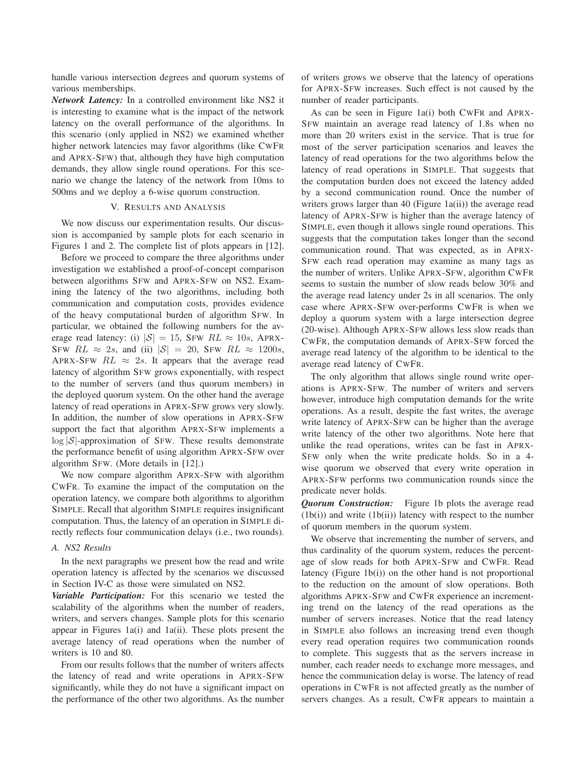handle various intersection degrees and quorum systems of various memberships.

*Network Latency:* In a controlled environment like NS2 it is interesting to examine what is the impact of the network latency on the overall performance of the algorithms. In this scenario (only applied in NS2) we examined whether higher network latencies may favor algorithms (like CWFR and APRX-SFW) that, although they have high computation demands, they allow single round operations. For this scenario we change the latency of the network from 10ms to 500ms and we deploy a 6-wise quorum construction.

### V. RESULTS AND ANALYSIS

We now discuss our experimentation results. Our discussion is accompanied by sample plots for each scenario in Figures 1 and 2. The complete list of plots appears in [12].

Before we proceed to compare the three algorithms under investigation we established a proof-of-concept comparison between algorithms SFW and APRX-SFW on NS2. Examining the latency of the two algorithms, including both communication and computation costs, provides evidence of the heavy computational burden of algorithm SFW. In particular, we obtained the following numbers for the average read latency: (i)  $|S| = 15$ , SFW  $RL \approx 10s$ , APRX-SFW  $RL \approx 2s$ , and (ii)  $|S| = 20$ , SFW  $RL \approx 1200s$ , APRX-SFW  $RL \approx 2s$ . It appears that the average read latency of algorithm SFW grows exponentially, with respect to the number of servers (and thus quorum members) in the deployed quorum system. On the other hand the average latency of read operations in APRX-SFW grows very slowly. In addition, the number of slow operations in APRX-SFW support the fact that algorithm APRX-SFW implements a log |S|-approximation of SFW. These results demonstrate the performance benefit of using algorithm APRX-SFW over algorithm SFW. (More details in [12].)

We now compare algorithm APRX-SFW with algorithm CWFR. To examine the impact of the computation on the operation latency, we compare both algorithms to algorithm SIMPLE. Recall that algorithm SIMPLE requires insignificant computation. Thus, the latency of an operation in SIMPLE directly reflects four communication delays (i.e., two rounds).

### *A. NS2 Results*

In the next paragraphs we present how the read and write operation latency is affected by the scenarios we discussed in Section IV-C as those were simulated on NS2.

*Variable Participation:* For this scenario we tested the scalability of the algorithms when the number of readers, writers, and servers changes. Sample plots for this scenario appear in Figures 1a(i) and 1a(ii). These plots present the average latency of read operations when the number of writers is 10 and 80.

From our results follows that the number of writers affects the latency of read and write operations in APRX-SFW significantly, while they do not have a significant impact on the performance of the other two algorithms. As the number of writers grows we observe that the latency of operations for APRX-SFW increases. Such effect is not caused by the number of reader participants.

As can be seen in Figure 1a(i) both CWFR and APRX-SFW maintain an average read latency of 1.8s when no more than 20 writers exist in the service. That is true for most of the server participation scenarios and leaves the latency of read operations for the two algorithms below the latency of read operations in SIMPLE. That suggests that the computation burden does not exceed the latency added by a second communication round. Once the number of writers grows larger than 40 (Figure 1a(ii)) the average read latency of APRX-SFW is higher than the average latency of SIMPLE, even though it allows single round operations. This suggests that the computation takes longer than the second communication round. That was expected, as in APRX-SFW each read operation may examine as many tags as the number of writers. Unlike APRX-SFW, algorithm CWFR seems to sustain the number of slow reads below 30% and the average read latency under 2s in all scenarios. The only case where APRX-SFW over-performs CWFR is when we deploy a quorum system with a large intersection degree (20-wise). Although APRX-SFW allows less slow reads than CWFR, the computation demands of APRX-SFW forced the average read latency of the algorithm to be identical to the average read latency of CWFR.

The only algorithm that allows single round write operations is APRX-SFW. The number of writers and servers however, introduce high computation demands for the write operations. As a result, despite the fast writes, the average write latency of APRX-SFW can be higher than the average write latency of the other two algorithms. Note here that unlike the read operations, writes can be fast in APRX-SFW only when the write predicate holds. So in a 4 wise quorum we observed that every write operation in APRX-SFW performs two communication rounds since the predicate never holds.

*Quorum Construction:* Figure 1b plots the average read  $(1b(i))$  and write  $(1b(ii))$  latency with respect to the number of quorum members in the quorum system.

We observe that incrementing the number of servers, and thus cardinality of the quorum system, reduces the percentage of slow reads for both APRX-SFW and CWFR. Read latency (Figure 1b(i)) on the other hand is not proportional to the reduction on the amount of slow operations. Both algorithms APRX-SFW and CWFR experience an incrementing trend on the latency of the read operations as the number of servers increases. Notice that the read latency in SIMPLE also follows an increasing trend even though every read operation requires two communication rounds to complete. This suggests that as the servers increase in number, each reader needs to exchange more messages, and hence the communication delay is worse. The latency of read operations in CWFR is not affected greatly as the number of servers changes. As a result, CWFR appears to maintain a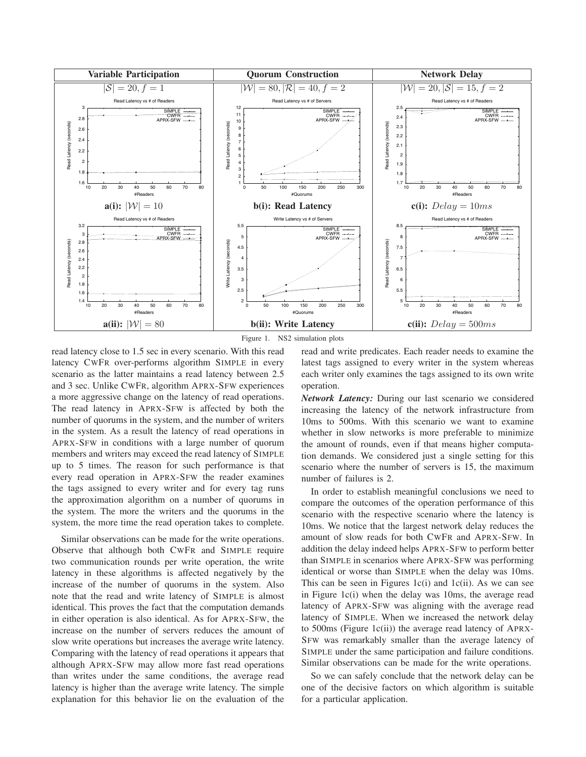

Figure 1. NS2 simulation plots

read latency close to 1.5 sec in every scenario. With this read latency CWFR over-performs algorithm SIMPLE in every scenario as the latter maintains a read latency between 2.5 and 3 sec. Unlike CWFR, algorithm APRX-SFW experiences a more aggressive change on the latency of read operations. The read latency in APRX-SFW is affected by both the number of quorums in the system, and the number of writers in the system. As a result the latency of read operations in APRX-SFW in conditions with a large number of quorum members and writers may exceed the read latency of SIMPLE up to 5 times. The reason for such performance is that every read operation in APRX-SFW the reader examines the tags assigned to every writer and for every tag runs the approximation algorithm on a number of quorums in the system. The more the writers and the quorums in the system, the more time the read operation takes to complete.

Similar observations can be made for the write operations. Observe that although both CWFR and SIMPLE require two communication rounds per write operation, the write latency in these algorithms is affected negatively by the increase of the number of quorums in the system. Also note that the read and write latency of SIMPLE is almost identical. This proves the fact that the computation demands in either operation is also identical. As for APRX-SFW, the increase on the number of servers reduces the amount of slow write operations but increases the average write latency. Comparing with the latency of read operations it appears that although APRX-SFW may allow more fast read operations than writes under the same conditions, the average read latency is higher than the average write latency. The simple explanation for this behavior lie on the evaluation of the read and write predicates. Each reader needs to examine the latest tags assigned to every writer in the system whereas each writer only examines the tags assigned to its own write operation.

*Network Latency:* During our last scenario we considered increasing the latency of the network infrastructure from 10ms to 500ms. With this scenario we want to examine whether in slow networks is more preferable to minimize the amount of rounds, even if that means higher computation demands. We considered just a single setting for this scenario where the number of servers is 15, the maximum number of failures is 2.

In order to establish meaningful conclusions we need to compare the outcomes of the operation performance of this scenario with the respective scenario where the latency is 10ms. We notice that the largest network delay reduces the amount of slow reads for both CWFR and APRX-SFW. In addition the delay indeed helps APRX-SFW to perform better than SIMPLE in scenarios where APRX-SFW was performing identical or worse than SIMPLE when the delay was 10ms. This can be seen in Figures 1c(i) and 1c(ii). As we can see in Figure 1c(i) when the delay was 10ms, the average read latency of APRX-SFW was aligning with the average read latency of SIMPLE. When we increased the network delay to 500ms (Figure 1c(ii)) the average read latency of APRX-SFW was remarkably smaller than the average latency of SIMPLE under the same participation and failure conditions. Similar observations can be made for the write operations.

So we can safely conclude that the network delay can be one of the decisive factors on which algorithm is suitable for a particular application.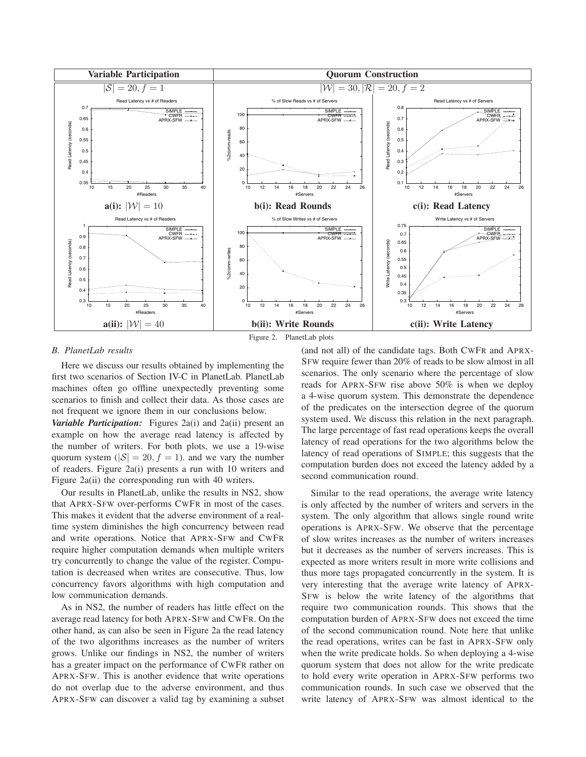

Figure 2. PlanetLab plots

#### *B. PlanetLab results*

Here we discuss our results obtained by implementing the first two scenarios of Section IV-C in PlanetLab. PlanetLab machines often go offline unexpectedly preventing some scenarios to finish and collect their data. As those cases are not frequent we ignore them in our conclusions below.

*Variable Participation:* Figures 2a(i) and 2a(ii) present an example on how the average read latency is affected by the number of writers. For both plots, we use a 19-wise quorum system ( $|\mathcal{S}| = 20, f = 1$ ). and we vary the number of readers. Figure 2a(i) presents a run with 10 writers and Figure 2a(ii) the corresponding run with 40 writers.

Our results in PlanetLab, unlike the results in NS2, show that APRX-SFW over-performs CWFR in most of the cases. This makes it evident that the adverse environment of a realtime system diminishes the high concurrency between read and write operations. Notice that APRX-SFW and CWFR require higher computation demands when multiple writers try concurrently to change the value of the register. Computation is decreased when writes are consecutive. Thus, low concurrency favors algorithms with high computation and low communication demands.

As in NS2, the number of readers has little effect on the average read latency for both APRX-SFW and CWFR. On the other hand, as can also be seen in Figure 2a the read latency of the two algorithms increases as the number of writers grows. Unlike our findings in NS2, the number of writers has a greater impact on the performance of CWFR rather on APRX-SFW. This is another evidence that write operations do not overlap due to the adverse environment, and thus APRX-SFW can discover a valid tag by examining a subset (and not all) of the candidate tags. Both CWFR and APRX-SFW require fewer than 20% of reads to be slow almost in all scenarios. The only scenario where the percentage of slow reads for APRX-SFW rise above 50% is when we deploy a 4-wise quorum system. This demonstrate the dependence of the predicates on the intersection degree of the quorum system used. We discuss this relation in the next paragraph. The large percentage of fast read operations keeps the overall latency of read operations for the two algorithms below the latency of read operations of SIMPLE; this suggests that the computation burden does not exceed the latency added by a second communication round.

Similar to the read operations, the average write latency is only affected by the number of writers and servers in the system. The only algorithm that allows single round write operations is APRX-SFW. We observe that the percentage of slow writes increases as the number of writers increases but it decreases as the number of servers increases. This is expected as more writers result in more write collisions and thus more tags propagated concurrently in the system. It is very interesting that the average write latency of APRX-SFW is below the write latency of the algorithms that require two communication rounds. This shows that the computation burden of APRX-SFW does not exceed the time of the second communication round. Note here that unlike the read operations, writes can be fast in APRX-SFW only when the write predicate holds. So when deploying a 4-wise quorum system that does not allow for the write predicate to hold every write operation in APRX-SFW performs two communication rounds. In such case we observed that the write latency of APRX-SFW was almost identical to the